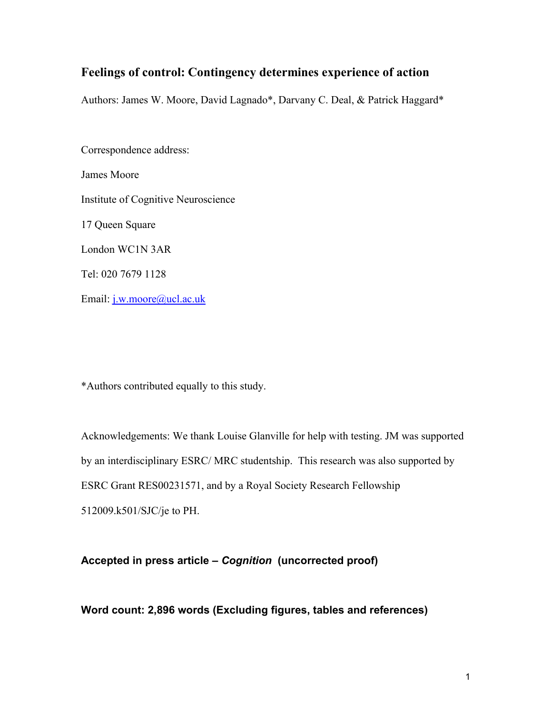# **Feelings of control: Contingency determines experience of action**

Authors: James W. Moore, David Lagnado\*, Darvany C. Deal, & Patrick Haggard\*

Correspondence address: James Moore Institute of Cognitive Neuroscience 17 Queen Square London WC1N 3AR Tel: 020 7679 1128 Email: j.w.moore@ucl.ac.uk

\*Authors contributed equally to this study.

Acknowledgements: We thank Louise Glanville for help with testing. JM was supported by an interdisciplinary ESRC/ MRC studentship. This research was also supported by ESRC Grant RES00231571, and by a Royal Society Research Fellowship 512009.k501/SJC/je to PH.

## **Accepted in press article –** *Cognition* **(uncorrected proof)**

**Word count: 2,896 words (Excluding figures, tables and references)**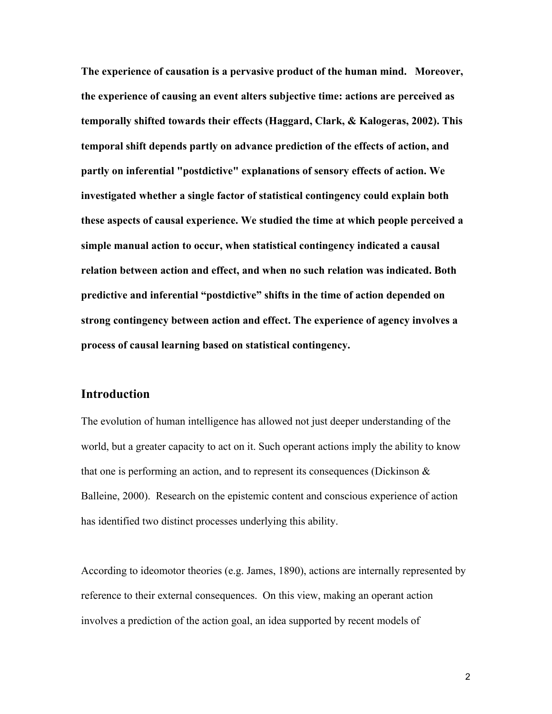**The experience of causation is a pervasive product of the human mind. Moreover, the experience of causing an event alters subjective time: actions are perceived as temporally shifted towards their effects (Haggard, Clark, & Kalogeras, 2002). This temporal shift depends partly on advance prediction of the effects of action, and partly on inferential "postdictive" explanations of sensory effects of action. We investigated whether a single factor of statistical contingency could explain both these aspects of causal experience. We studied the time at which people perceived a simple manual action to occur, when statistical contingency indicated a causal relation between action and effect, and when no such relation was indicated. Both predictive and inferential "postdictive" shifts in the time of action depended on strong contingency between action and effect. The experience of agency involves a process of causal learning based on statistical contingency.**

# **Introduction**

The evolution of human intelligence has allowed not just deeper understanding of the world, but a greater capacity to act on it. Such operant actions imply the ability to know that one is performing an action, and to represent its consequences (Dickinson & Balleine, 2000). Research on the epistemic content and conscious experience of action has identified two distinct processes underlying this ability.

According to ideomotor theories (e.g. James, 1890), actions are internally represented by reference to their external consequences. On this view, making an operant action involves a prediction of the action goal, an idea supported by recent models of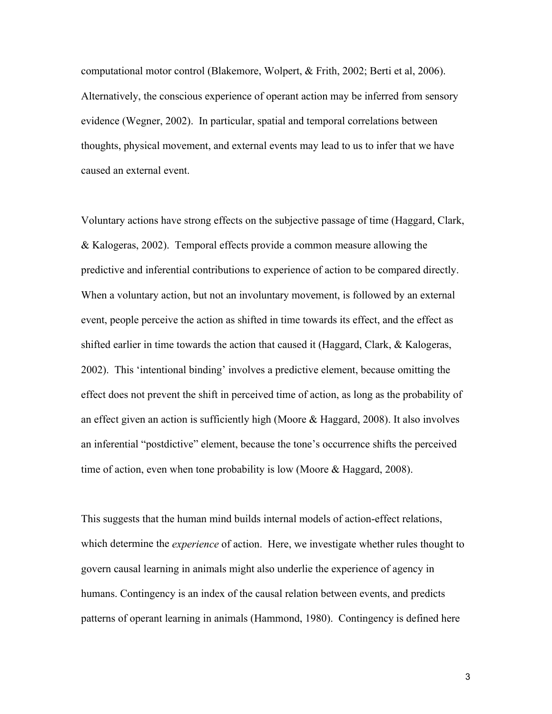computational motor control (Blakemore, Wolpert, & Frith, 2002; Berti et al, 2006). Alternatively, the conscious experience of operant action may be inferred from sensory evidence (Wegner, 2002). In particular, spatial and temporal correlations between thoughts, physical movement, and external events may lead to us to infer that we have caused an external event.

Voluntary actions have strong effects on the subjective passage of time (Haggard, Clark, & Kalogeras, 2002). Temporal effects provide a common measure allowing the predictive and inferential contributions to experience of action to be compared directly. When a voluntary action, but not an involuntary movement, is followed by an external event, people perceive the action as shifted in time towards its effect, and the effect as shifted earlier in time towards the action that caused it (Haggard, Clark, & Kalogeras, 2002). This 'intentional binding' involves a predictive element, because omitting the effect does not prevent the shift in perceived time of action, as long as the probability of an effect given an action is sufficiently high (Moore & Haggard, 2008). It also involves an inferential "postdictive" element, because the tone's occurrence shifts the perceived time of action, even when tone probability is low (Moore & Haggard, 2008).

This suggests that the human mind builds internal models of action-effect relations, which determine the *experience* of action. Here, we investigate whether rules thought to govern causal learning in animals might also underlie the experience of agency in humans. Contingency is an index of the causal relation between events, and predicts patterns of operant learning in animals (Hammond, 1980). Contingency is defined here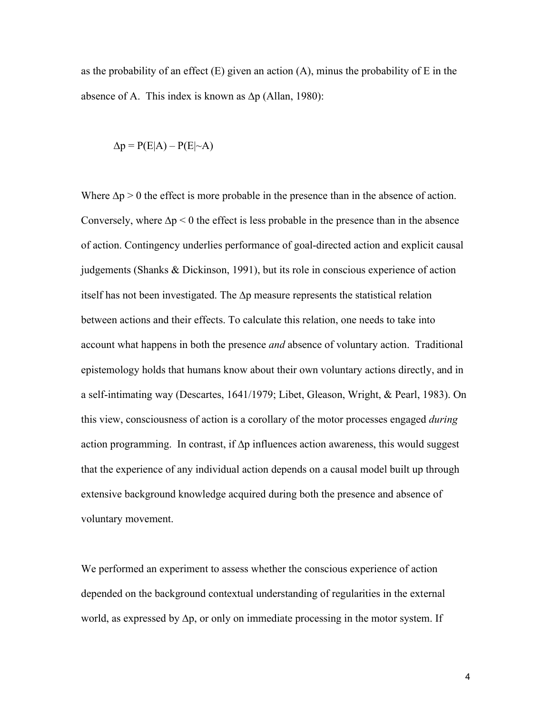as the probability of an effect  $(E)$  given an action  $(A)$ , minus the probability of E in the absence of A. This index is known as  $\Delta p$  (Allan, 1980):

$$
\Delta p = P(E|A) - P(E|\sim A)
$$

Where  $\Delta p > 0$  the effect is more probable in the presence than in the absence of action. Conversely, where  $\Delta p \leq 0$  the effect is less probable in the presence than in the absence of action. Contingency underlies performance of goal-directed action and explicit causal judgements (Shanks & Dickinson, 1991), but its role in conscious experience of action itself has not been investigated. The ∆p measure represents the statistical relation between actions and their effects. To calculate this relation, one needs to take into account what happens in both the presence *and* absence of voluntary action. Traditional epistemology holds that humans know about their own voluntary actions directly, and in a self-intimating way (Descartes, 1641/1979; Libet, Gleason, Wright, & Pearl, 1983). On this view, consciousness of action is a corollary of the motor processes engaged *during*  action programming. In contrast, if ∆p influences action awareness, this would suggest that the experience of any individual action depends on a causal model built up through extensive background knowledge acquired during both the presence and absence of voluntary movement.

We performed an experiment to assess whether the conscious experience of action depended on the background contextual understanding of regularities in the external world, as expressed by ∆p, or only on immediate processing in the motor system. If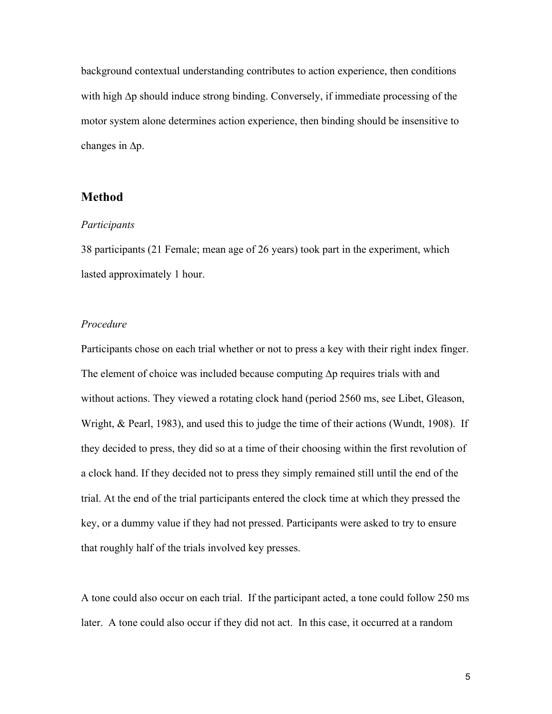background contextual understanding contributes to action experience, then conditions with high ∆p should induce strong binding. Conversely, if immediate processing of the motor system alone determines action experience, then binding should be insensitive to changes in ∆p.

### **Method**

#### *Participants*

38 participants (21 Female; mean age of 26 years) took part in the experiment, which lasted approximately 1 hour.

#### *Procedure*

Participants chose on each trial whether or not to press a key with their right index finger. The element of choice was included because computing ∆p requires trials with and without actions. They viewed a rotating clock hand (period 2560 ms, see Libet, Gleason, Wright, & Pearl, 1983), and used this to judge the time of their actions (Wundt, 1908). If they decided to press, they did so at a time of their choosing within the first revolution of a clock hand. If they decided not to press they simply remained still until the end of the trial. At the end of the trial participants entered the clock time at which they pressed the key, or a dummy value if they had not pressed. Participants were asked to try to ensure that roughly half of the trials involved key presses.

A tone could also occur on each trial. If the participant acted, a tone could follow 250 ms later. A tone could also occur if they did not act. In this case, it occurred at a random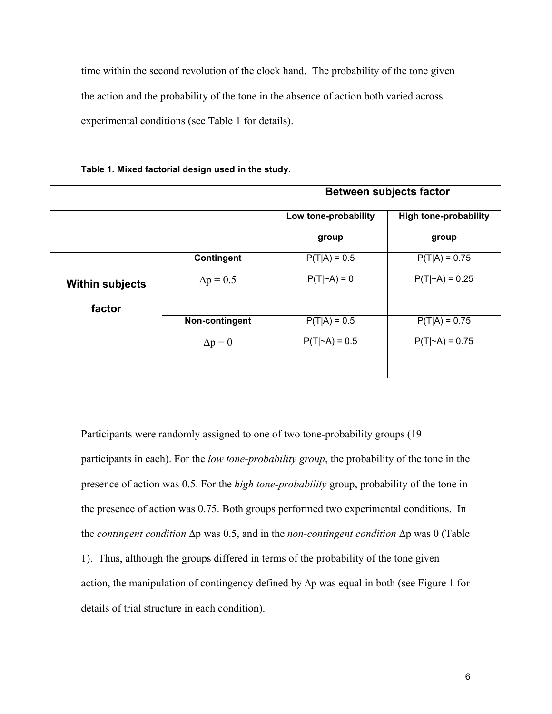time within the second revolution of the clock hand. The probability of the tone given the action and the probability of the tone in the absence of action both varied across experimental conditions (see Table 1 for details).

|                        |                   | <b>Between subjects factor</b> |                              |  |
|------------------------|-------------------|--------------------------------|------------------------------|--|
|                        |                   | Low tone-probability           | <b>High tone-probability</b> |  |
|                        |                   | group                          | group                        |  |
|                        | <b>Contingent</b> | $P(T A) = 0.5$                 | $P(T A) = 0.75$              |  |
| <b>Within subjects</b> | $\Delta p = 0.5$  | $P(T \sim A) = 0$              | $P(T \sim A) = 0.25$         |  |
| factor                 |                   |                                |                              |  |
|                        | Non-contingent    | $P(T A) = 0.5$                 | $P(T A) = 0.75$              |  |
|                        | $\Delta p = 0$    | $P(T \sim A) = 0.5$            | $P(T \sim A) = 0.75$         |  |
|                        |                   |                                |                              |  |

**Table 1. Mixed factorial design used in the study.**

Participants were randomly assigned to one of two tone-probability groups (19 participants in each). For the *low tone-probability group*, the probability of the tone in the presence of action was 0.5. For the *high tone-probability* group, probability of the tone in the presence of action was 0.75. Both groups performed two experimental conditions. In the *contingent condition* ∆p was 0.5, and in the *non-contingent condition* ∆p was 0 (Table 1). Thus, although the groups differed in terms of the probability of the tone given action, the manipulation of contingency defined by ∆p was equal in both (see Figure 1 for details of trial structure in each condition).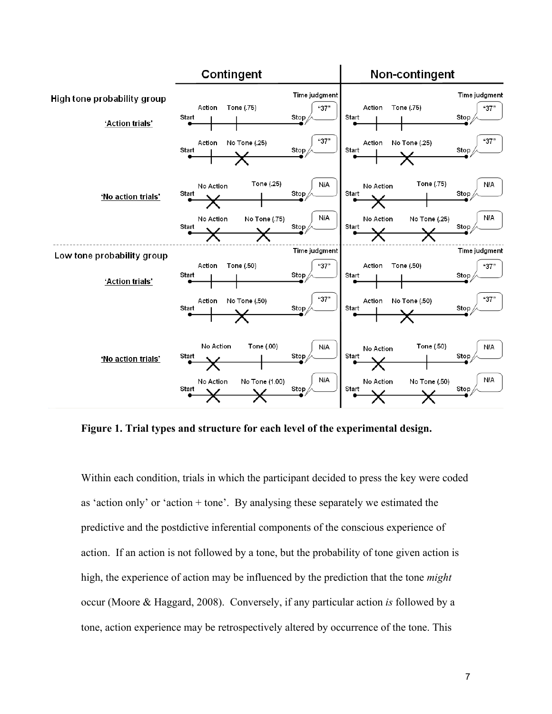

**Figure 1. Trial types and structure for each level of the experimental design.**

Within each condition, trials in which the participant decided to press the key were coded as 'action only' or 'action + tone'. By analysing these separately we estimated the predictive and the postdictive inferential components of the conscious experience of action. If an action is not followed by a tone, but the probability of tone given action is high, the experience of action may be influenced by the prediction that the tone *might* occur (Moore & Haggard, 2008). Conversely, if any particular action *is* followed by a tone, action experience may be retrospectively altered by occurrence of the tone. This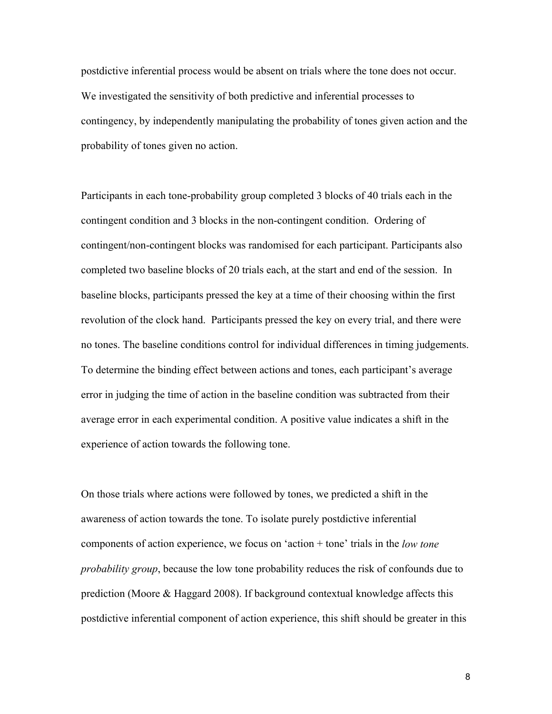postdictive inferential process would be absent on trials where the tone does not occur. We investigated the sensitivity of both predictive and inferential processes to contingency, by independently manipulating the probability of tones given action and the probability of tones given no action.

Participants in each tone-probability group completed 3 blocks of 40 trials each in the contingent condition and 3 blocks in the non-contingent condition. Ordering of contingent/non-contingent blocks was randomised for each participant. Participants also completed two baseline blocks of 20 trials each, at the start and end of the session. In baseline blocks, participants pressed the key at a time of their choosing within the first revolution of the clock hand. Participants pressed the key on every trial, and there were no tones. The baseline conditions control for individual differences in timing judgements. To determine the binding effect between actions and tones, each participant's average error in judging the time of action in the baseline condition was subtracted from their average error in each experimental condition. A positive value indicates a shift in the experience of action towards the following tone.

On those trials where actions were followed by tones, we predicted a shift in the awareness of action towards the tone. To isolate purely postdictive inferential components of action experience, we focus on 'action + tone' trials in the *low tone probability group*, because the low tone probability reduces the risk of confounds due to prediction (Moore & Haggard 2008). If background contextual knowledge affects this postdictive inferential component of action experience, this shift should be greater in this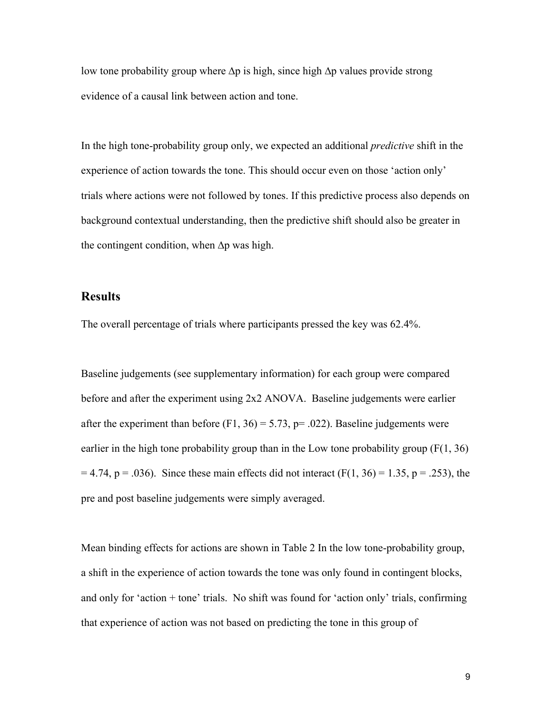low tone probability group where ∆p is high, since high ∆p values provide strong evidence of a causal link between action and tone.

In the high tone-probability group only, we expected an additional *predictive* shift in the experience of action towards the tone. This should occur even on those 'action only' trials where actions were not followed by tones. If this predictive process also depends on background contextual understanding, then the predictive shift should also be greater in the contingent condition, when ∆p was high.

### **Results**

The overall percentage of trials where participants pressed the key was 62.4%.

Baseline judgements (see supplementary information) for each group were compared before and after the experiment using 2x2 ANOVA. Baseline judgements were earlier after the experiment than before  $(F1, 36) = 5.73$ ,  $p = .022$ ). Baseline judgements were earlier in the high tone probability group than in the Low tone probability group  $(F(1, 36))$  $= 4.74$ , p = .036). Since these main effects did not interact (F(1, 36) = 1.35, p = .253), the pre and post baseline judgements were simply averaged.

Mean binding effects for actions are shown in Table 2 In the low tone-probability group, a shift in the experience of action towards the tone was only found in contingent blocks, and only for 'action + tone' trials. No shift was found for 'action only' trials, confirming that experience of action was not based on predicting the tone in this group of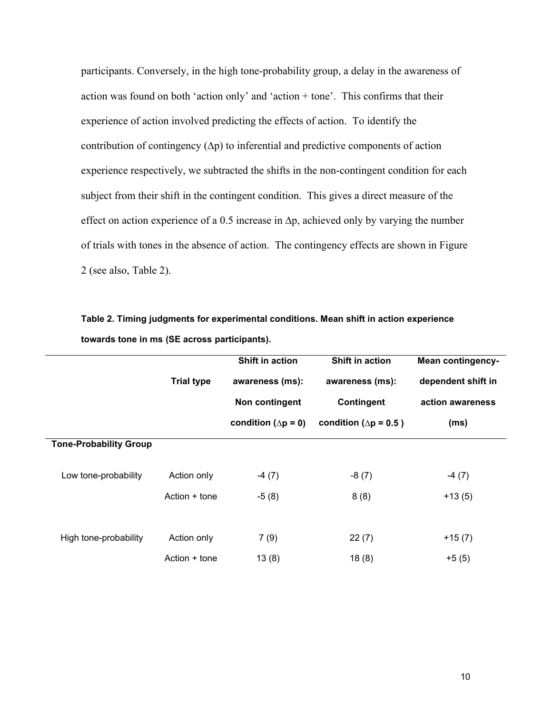participants. Conversely, in the high tone-probability group, a delay in the awareness of action was found on both 'action only' and 'action + tone'. This confirms that their experience of action involved predicting the effects of action. To identify the contribution of contingency (∆p) to inferential and predictive components of action experience respectively, we subtracted the shifts in the non-contingent condition for each subject from their shift in the contingent condition. This gives a direct measure of the effect on action experience of a 0.5 increase in  $\Delta p$ , achieved only by varying the number of trials with tones in the absence of action. The contingency effects are shown in Figure 2 (see also, Table 2).

**Table 2. Timing judgments for experimental conditions. Mean shift in action experience towards tone in ms (SE across participants).**

|                               |                   | Shift in action              | Shift in action                | <b>Mean contingency-</b> |
|-------------------------------|-------------------|------------------------------|--------------------------------|--------------------------|
|                               | <b>Trial type</b> | awareness (ms):              | awareness (ms):                | dependent shift in       |
|                               |                   | Non contingent               | <b>Contingent</b>              | action awareness         |
|                               |                   | condition ( $\Delta p = 0$ ) | condition ( $\Delta p = 0.5$ ) | (ms)                     |
| <b>Tone-Probability Group</b> |                   |                              |                                |                          |
| Low tone-probability          | Action only       | $-4(7)$                      | $-8(7)$                        | $-4(7)$                  |
|                               | Action + tone     | $-5(8)$                      | 8(8)                           | $+13(5)$                 |
|                               |                   |                              |                                |                          |
| High tone-probability         | Action only       | 7(9)                         | 22(7)                          | $+15(7)$                 |
|                               | Action + tone     | 13(8)                        | 18(8)                          | $+5(5)$                  |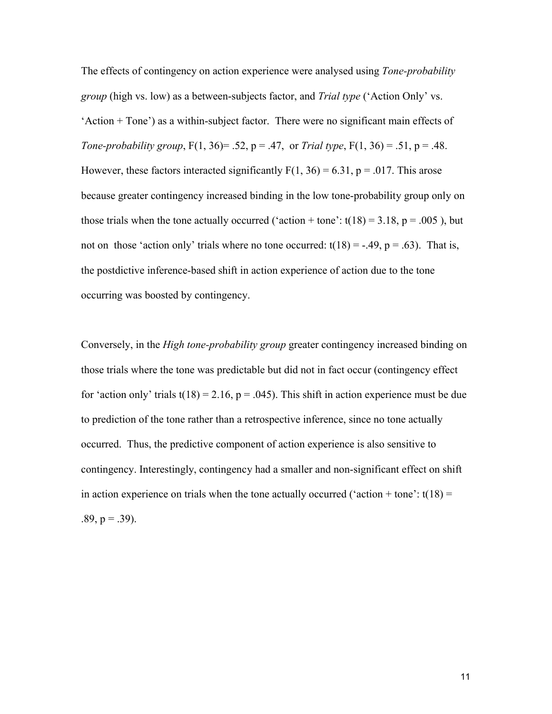The effects of contingency on action experience were analysed using *Tone-probability group* (high vs. low) as a between-subjects factor, and *Trial type* ('Action Only' vs. 'Action + Tone') as a within-subject factor. There were no significant main effects of *Tone-probability group*,  $F(1, 36) = .52$ ,  $p = .47$ , or *Trial type*,  $F(1, 36) = .51$ ,  $p = .48$ . However, these factors interacted significantly  $F(1, 36) = 6.31$ ,  $p = .017$ . This arose because greater contingency increased binding in the low tone-probability group only on those trials when the tone actually occurred ('action + tone':  $t(18) = 3.18$ ,  $p = .005$ ), but not on those 'action only' trials where no tone occurred:  $t(18) = -.49$ ,  $p = .63$ ). That is, the postdictive inference-based shift in action experience of action due to the tone occurring was boosted by contingency.

Conversely, in the *High tone-probability group* greater contingency increased binding on those trials where the tone was predictable but did not in fact occur (contingency effect for 'action only' trials  $t(18) = 2.16$ ,  $p = .045$ ). This shift in action experience must be due to prediction of the tone rather than a retrospective inference, since no tone actually occurred. Thus, the predictive component of action experience is also sensitive to contingency. Interestingly, contingency had a smaller and non-significant effect on shift in action experience on trials when the tone actually occurred ('action + tone':  $t(18)$  =  $.89, p = .39$ ).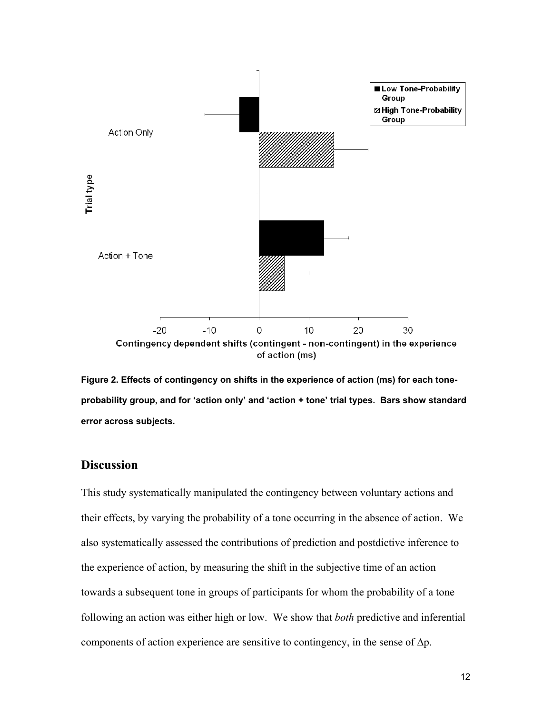

**Figure 2. Effects of contingency on shifts in the experience of action (ms) for each toneprobability group, and for 'action only' and 'action + tone' trial types. Bars show standard error across subjects.**

# **Discussion**

This study systematically manipulated the contingency between voluntary actions and their effects, by varying the probability of a tone occurring in the absence of action. We also systematically assessed the contributions of prediction and postdictive inference to the experience of action, by measuring the shift in the subjective time of an action towards a subsequent tone in groups of participants for whom the probability of a tone following an action was either high or low. We show that *both* predictive and inferential components of action experience are sensitive to contingency, in the sense of ∆p.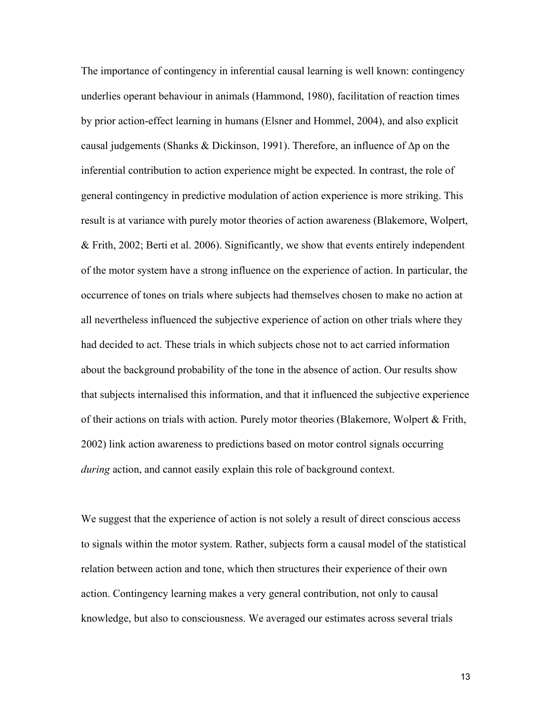The importance of contingency in inferential causal learning is well known: contingency underlies operant behaviour in animals (Hammond, 1980), facilitation of reaction times by prior action-effect learning in humans (Elsner and Hommel, 2004), and also explicit causal judgements (Shanks & Dickinson, 1991). Therefore, an influence of ∆p on the inferential contribution to action experience might be expected. In contrast, the role of general contingency in predictive modulation of action experience is more striking. This result is at variance with purely motor theories of action awareness (Blakemore, Wolpert, & Frith, 2002; Berti et al. 2006). Significantly, we show that events entirely independent of the motor system have a strong influence on the experience of action. In particular, the occurrence of tones on trials where subjects had themselves chosen to make no action at all nevertheless influenced the subjective experience of action on other trials where they had decided to act. These trials in which subjects chose not to act carried information about the background probability of the tone in the absence of action. Our results show that subjects internalised this information, and that it influenced the subjective experience of their actions on trials with action. Purely motor theories (Blakemore, Wolpert & Frith, 2002) link action awareness to predictions based on motor control signals occurring *during* action, and cannot easily explain this role of background context.

We suggest that the experience of action is not solely a result of direct conscious access to signals within the motor system. Rather, subjects form a causal model of the statistical relation between action and tone, which then structures their experience of their own action. Contingency learning makes a very general contribution, not only to causal knowledge, but also to consciousness. We averaged our estimates across several trials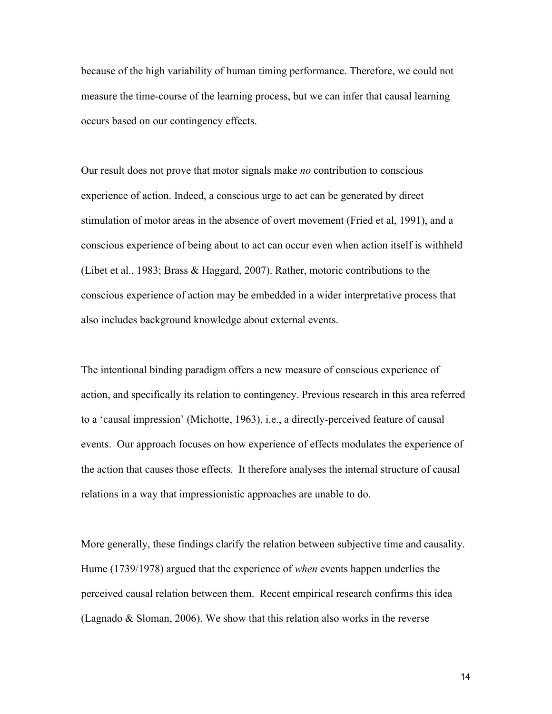because of the high variability of human timing performance. Therefore, we could not measure the time-course of the learning process, but we can infer that causal learning occurs based on our contingency effects.

Our result does not prove that motor signals make *no* contribution to conscious experience of action. Indeed, a conscious urge to act can be generated by direct stimulation of motor areas in the absence of overt movement (Fried et al, 1991), and a conscious experience of being about to act can occur even when action itself is withheld (Libet et al., 1983; Brass & Haggard, 2007). Rather, motoric contributions to the conscious experience of action may be embedded in a wider interpretative process that also includes background knowledge about external events.

The intentional binding paradigm offers a new measure of conscious experience of action, and specifically its relation to contingency. Previous research in this area referred to a 'causal impression' (Michotte, 1963), i.e., a directly-perceived feature of causal events. Our approach focuses on how experience of effects modulates the experience of the action that causes those effects. It therefore analyses the internal structure of causal relations in a way that impressionistic approaches are unable to do.

More generally, these findings clarify the relation between subjective time and causality. Hume (1739/1978) argued that the experience of *when* events happen underlies the perceived causal relation between them. Recent empirical research confirms this idea (Lagnado & Sloman, 2006). We show that this relation also works in the reverse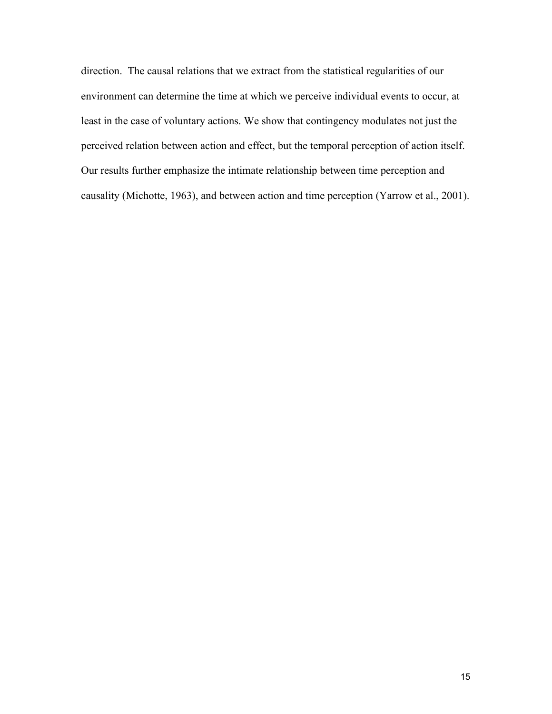direction. The causal relations that we extract from the statistical regularities of our environment can determine the time at which we perceive individual events to occur, at least in the case of voluntary actions. We show that contingency modulates not just the perceived relation between action and effect, but the temporal perception of action itself. Our results further emphasize the intimate relationship between time perception and causality (Michotte, 1963), and between action and time perception (Yarrow et al., 2001).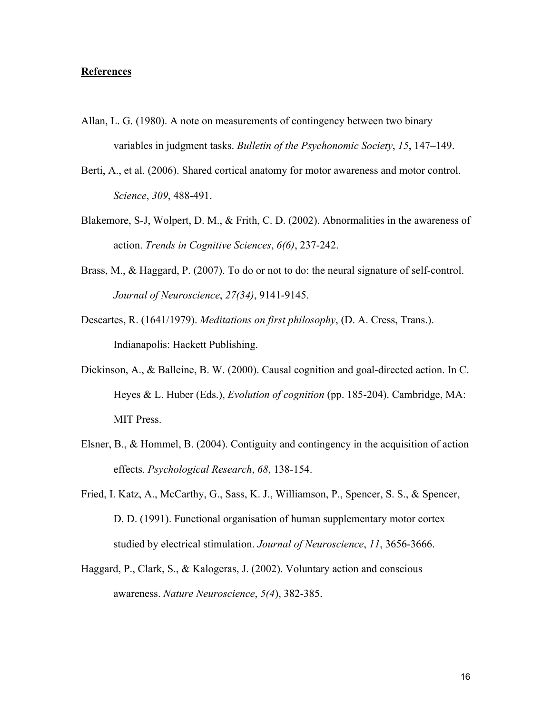#### **References**

- Allan, L. G. (1980). A note on measurements of contingency between two binary variables in judgment tasks. *Bulletin of the Psychonomic Society*, *15*, 147–149.
- Berti, A., et al. (2006). Shared cortical anatomy for motor awareness and motor control. *Science*, *309*, 488-491.
- Blakemore, S-J, Wolpert, D. M., & Frith, C. D. (2002). Abnormalities in the awareness of action. *Trends in Cognitive Sciences*, *6(6)*, 237-242.
- Brass, M., & Haggard, P. (2007). To do or not to do: the neural signature of self-control. *Journal of Neuroscience*, *27(34)*, 9141-9145.
- Descartes, R. (1641/1979). *Meditations on first philosophy*, (D. A. Cress, Trans.). Indianapolis: Hackett Publishing.
- Dickinson, A., & Balleine, B. W. (2000). Causal cognition and goal-directed action. In C. Heyes & L. Huber (Eds.), *Evolution of cognition* (pp. 185-204). Cambridge, MA: MIT Press.
- Elsner, B., & Hommel, B. (2004). Contiguity and contingency in the acquisition of action effects. *Psychological Research*, *68*, 138-154.
- Fried, I. Katz, A., McCarthy, G., Sass, K. J., Williamson, P., Spencer, S. S., & Spencer, D. D. (1991). Functional organisation of human supplementary motor cortex studied by electrical stimulation. *Journal of Neuroscience*, *11*, 3656-3666.
- Haggard, P., Clark, S., & Kalogeras, J. (2002). Voluntary action and conscious awareness. *Nature Neuroscience*, *5(4*), 382-385.